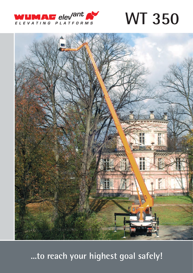

**WT 350** 



...to reach your highest goal safely!